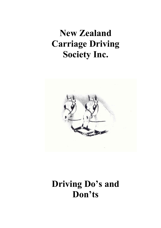## New Zealand Carriage Driving Society Inc.



## Driving Do's and Don'ts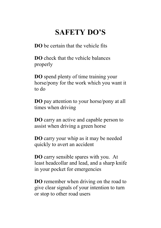## SAFETY DO'S

DO be certain that the vehicle fits

DO check that the vehicle balances properly

DO spend plenty of time training your horse/pony for the work which you want it to do

DO pay attention to your horse/pony at all times when driving

DO carry an active and capable person to assist when driving a green horse

DO carry your whip as it may be needed quickly to avert an accident

DO carry sensible spares with you. At least headcollar and lead, and a sharp knife in your pocket for emergencies

DO remember when driving on the road to give clear signals of your intention to turn or stop to other road users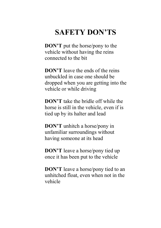## SAFETY DON'TS

DON'T put the horse/pony to the vehicle without having the reins connected to the bit

DON'T leave the ends of the reins unbuckled in case one should be dropped when you are getting into the vehicle or while driving

DON'T take the bridle off while the horse is still in the vehicle, even if is tied up by its halter and lead

DON'T unhitch a horse/pony in unfamiliar surroundings without having someone at its head

DON'T leave a horse/pony tied up once it has been put to the vehicle

DON'T leave a horse/pony tied to an unhitched float, even when not in the vehicle